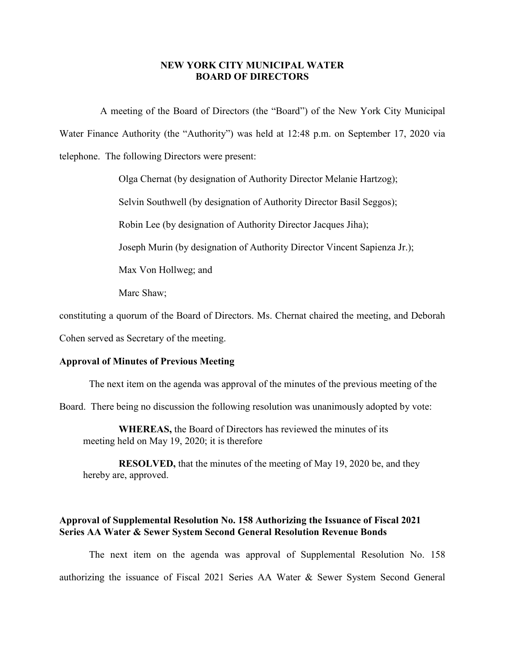## **NEW YORK CITY MUNICIPAL WATER BOARD OF DIRECTORS**

A meeting of the Board of Directors (the "Board") of the New York City Municipal Water Finance Authority (the "Authority") was held at 12:48 p.m. on September 17, 2020 via telephone. The following Directors were present:

Olga Chernat (by designation of Authority Director Melanie Hartzog);

Selvin Southwell (by designation of Authority Director Basil Seggos);

Robin Lee (by designation of Authority Director Jacques Jiha);

Joseph Murin (by designation of Authority Director Vincent Sapienza Jr.);

Max Von Hollweg; and

Marc Shaw;

constituting a quorum of the Board of Directors. Ms. Chernat chaired the meeting, and Deborah

Cohen served as Secretary of the meeting.

## **Approval of Minutes of Previous Meeting**

The next item on the agenda was approval of the minutes of the previous meeting of the

Board. There being no discussion the following resolution was unanimously adopted by vote:

**WHEREAS,** the Board of Directors has reviewed the minutes of its meeting held on May 19, 2020; it is therefore

**RESOLVED,** that the minutes of the meeting of May 19, 2020 be, and they hereby are, approved.

## **Approval of Supplemental Resolution No. 158 Authorizing the Issuance of Fiscal 2021 Series AA Water & Sewer System Second General Resolution Revenue Bonds**

The next item on the agenda was approval of Supplemental Resolution No. 158 authorizing the issuance of Fiscal 2021 Series AA Water & Sewer System Second General